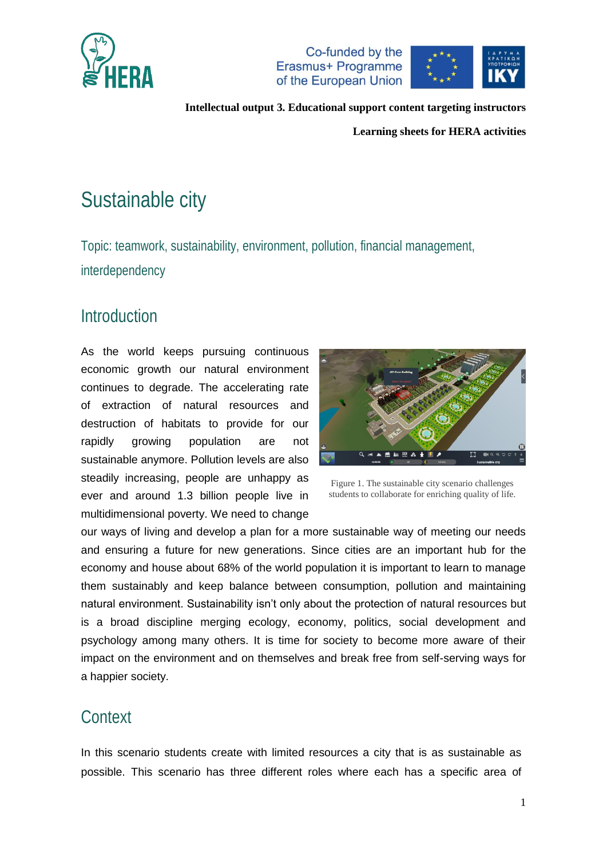



**Learning sheets for HERA activities**

# Sustainable city

Topic: teamwork, sustainability, environment, pollution, financial management, interdependency

### Introduction

As the world keeps pursuing continuous economic growth our natural environment continues to degrade. The accelerating rate of extraction of natural resources and destruction of habitats to provide for our rapidly growing population are not sustainable anymore. Pollution levels are also steadily increasing, people are unhappy as ever and around 1.3 billion people live in multidimensional poverty. We need to change



Figure 1. The sustainable city scenario challenges students to collaborate for enriching quality of life.

our ways of living and develop a plan for a more sustainable way of meeting our needs and ensuring a future for new generations. Since cities are an important hub for the economy and house about 68% of the world population it is important to learn to manage them sustainably and keep balance between consumption, pollution and maintaining natural environment. Sustainability isn't only about the protection of natural resources but is a broad discipline merging ecology, economy, politics, social development and psychology among many others. It is time for society to become more aware of their impact on the environment and on themselves and break free from self-serving ways for a happier society.

### **Context**

In this scenario students create with limited resources a city that is as sustainable as possible. This scenario has three different roles where each has a specific area of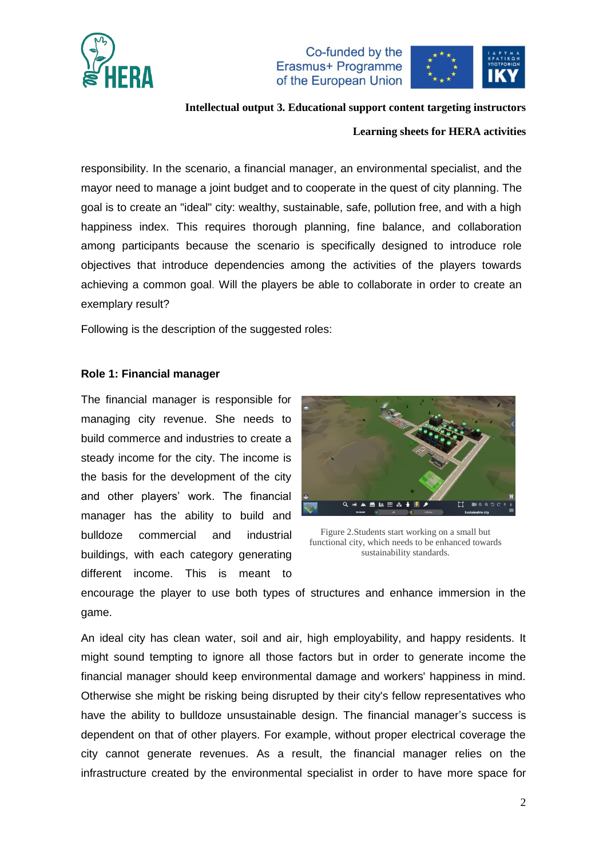



### **Intellectual output 3. Educational support content targeting instructors**

#### **Learning sheets for HERA activities**

responsibility. In the scenario, a financial manager, an environmental specialist, and the mayor need to manage a joint budget and to cooperate in the quest of city planning. The goal is to create an "ideal" city: wealthy, sustainable, safe, pollution free, and with a high happiness index. This requires thorough planning, fine balance, and collaboration among participants because the scenario is specifically designed to introduce role objectives that introduce dependencies among the activities of the players towards achieving a common goal. Will the players be able to collaborate in order to create an exemplary result?

Following is the description of the suggested roles:

#### **Role 1: Financial manager**

The financial manager is responsible for managing city revenue. She needs to build commerce and industries to create a steady income for the city. The income is the basis for the development of the city and other players' work. The financial manager has the ability to build and bulldoze commercial and industrial buildings, with each category generating different income. This is meant to



Figure 2.Students start working on a small but functional city, which needs to be enhanced towards sustainability standards.

encourage the player to use both types of structures and enhance immersion in the game.

An ideal city has clean water, soil and air, high employability, and happy residents. It might sound tempting to ignore all those factors but in order to generate income the financial manager should keep environmental damage and workers' happiness in mind. Otherwise she might be risking being disrupted by their city's fellow representatives who have the ability to bulldoze unsustainable design. The financial manager's success is dependent on that of other players. For example, without proper electrical coverage the city cannot generate revenues. As a result, the financial manager relies on the infrastructure created by the environmental specialist in order to have more space for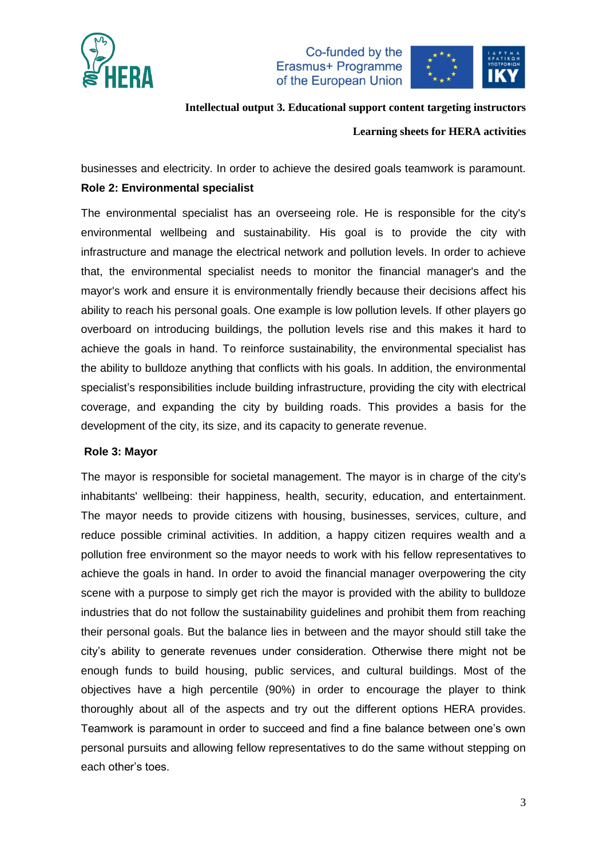



**Intellectual output 3. Educational support content targeting instructors**

#### **Learning sheets for HERA activities**

businesses and electricity. In order to achieve the desired goals teamwork is paramount. **Role 2: Environmental specialist**

The environmental specialist has an overseeing role. He is responsible for the city's environmental wellbeing and sustainability. His goal is to provide the city with infrastructure and manage the electrical network and pollution levels. In order to achieve that, the environmental specialist needs to monitor the financial manager's and the mayor's work and ensure it is environmentally friendly because their decisions affect his ability to reach his personal goals. One example is low pollution levels. If other players go overboard on introducing buildings, the pollution levels rise and this makes it hard to achieve the goals in hand. To reinforce sustainability, the environmental specialist has the ability to bulldoze anything that conflicts with his goals. In addition, the environmental specialist's responsibilities include building infrastructure, providing the city with electrical coverage, and expanding the city by building roads. This provides a basis for the development of the city, its size, and its capacity to generate revenue.

#### **Role 3: Mayor**

The mayor is responsible for societal management. The mayor is in charge of the city's inhabitants' wellbeing: their happiness, health, security, education, and entertainment. The mayor needs to provide citizens with housing, businesses, services, culture, and reduce possible criminal activities. In addition, a happy citizen requires wealth and a pollution free environment so the mayor needs to work with his fellow representatives to achieve the goals in hand. In order to avoid the financial manager overpowering the city scene with a purpose to simply get rich the mayor is provided with the ability to bulldoze industries that do not follow the sustainability guidelines and prohibit them from reaching their personal goals. But the balance lies in between and the mayor should still take the city's ability to generate revenues under consideration. Otherwise there might not be enough funds to build housing, public services, and cultural buildings. Most of the objectives have a high percentile (90%) in order to encourage the player to think thoroughly about all of the aspects and try out the different options HERA provides. Teamwork is paramount in order to succeed and find a fine balance between one's own personal pursuits and allowing fellow representatives to do the same without stepping on each other's toes.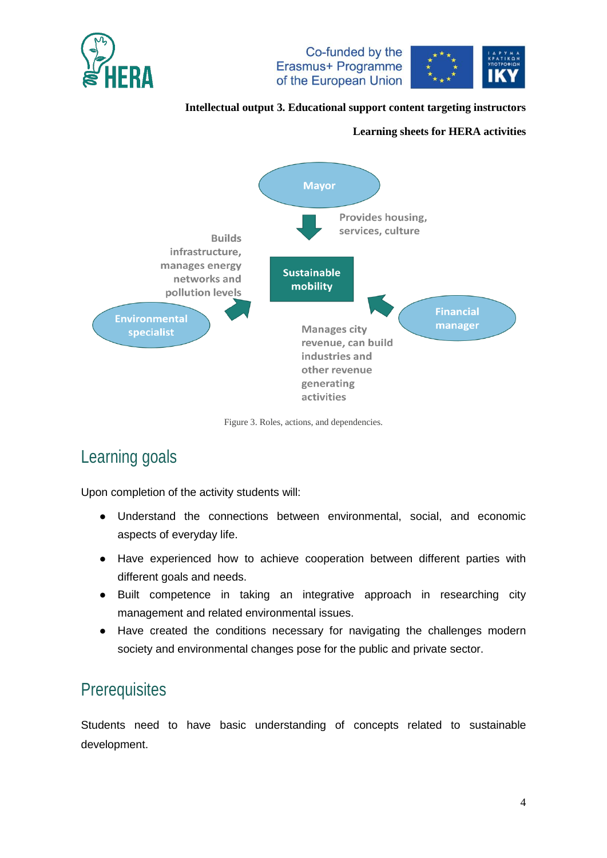



#### **Learning sheets for HERA activities**



Figure 3. Roles, actions, and dependencies.

## Learning goals

Upon completion of the activity students will:

- Understand the connections between environmental, social, and economic aspects of everyday life.
- Have experienced how to achieve cooperation between different parties with different goals and needs.
- Built competence in taking an integrative approach in researching city management and related environmental issues.
- Have created the conditions necessary for navigating the challenges modern society and environmental changes pose for the public and private sector.

### **Prerequisites**

Students need to have basic understanding of concepts related to sustainable development.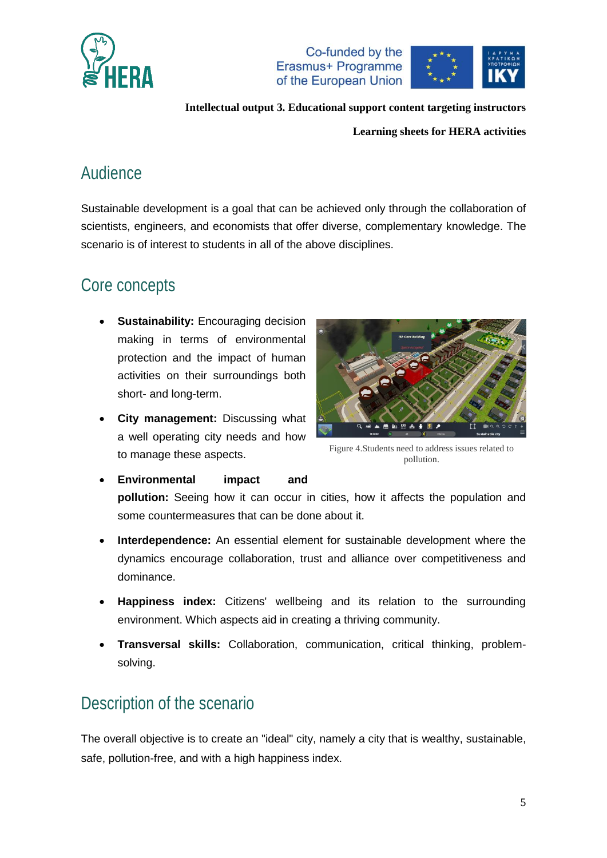



**Learning sheets for HERA activities**

### Audience

Sustainable development is a goal that can be achieved only through the collaboration of scientists, engineers, and economists that offer diverse, complementary knowledge. The scenario is of interest to students in all of the above disciplines.

### Core concepts

- **Sustainability:** Encouraging decision making in terms of environmental protection and the impact of human activities on their surroundings both short- and long-term.
- **City management:** Discussing what a well operating city needs and how to manage these aspects.



Figure 4.Students need to address issues related to pollution.

- **Environmental impact and pollution:** Seeing how it can occur in cities, how it affects the population and some countermeasures that can be done about it.
- **Interdependence:** An essential element for sustainable development where the dynamics encourage collaboration, trust and alliance over competitiveness and dominance.
- **Happiness index:** Citizens' wellbeing and its relation to the surrounding environment. Which aspects aid in creating a thriving community.
- **Transversal skills:** Collaboration, communication, critical thinking, problemsolving.

### Description of the scenario

The overall objective is to create an "ideal" city, namely a city that is wealthy, sustainable, safe, pollution-free, and with a high happiness index.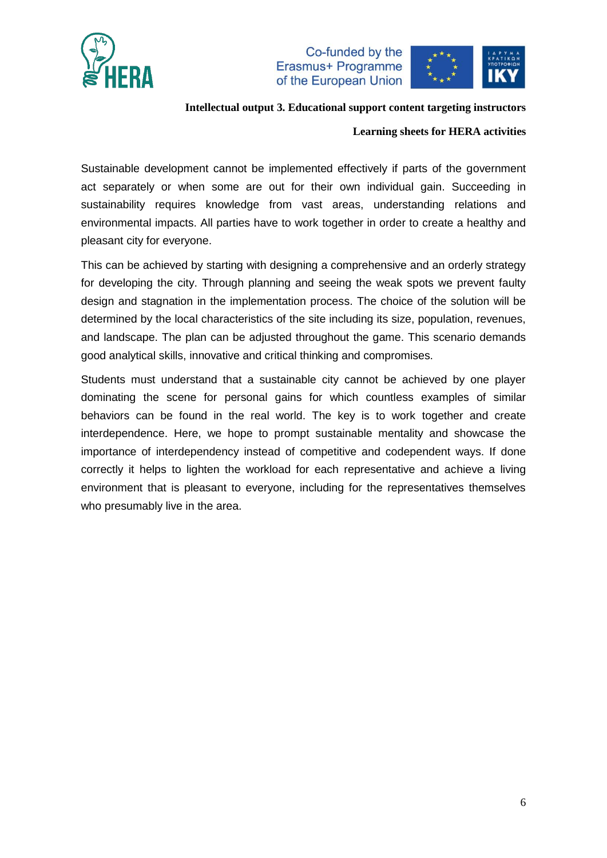



#### **Intellectual output 3. Educational support content targeting instructors**

#### **Learning sheets for HERA activities**

Sustainable development cannot be implemented effectively if parts of the government act separately or when some are out for their own individual gain. Succeeding in sustainability requires knowledge from vast areas, understanding relations and environmental impacts. All parties have to work together in order to create a healthy and pleasant city for everyone.

This can be achieved by starting with designing a comprehensive and an orderly strategy for developing the city. Through planning and seeing the weak spots we prevent faulty design and stagnation in the implementation process. The choice of the solution will be determined by the local characteristics of the site including its size, population, revenues, and landscape. The plan can be adjusted throughout the game. This scenario demands good analytical skills, innovative and critical thinking and compromises.

Students must understand that a sustainable city cannot be achieved by one player dominating the scene for personal gains for which countless examples of similar behaviors can be found in the real world. The key is to work together and create interdependence. Here, we hope to prompt sustainable mentality and showcase the importance of interdependency instead of competitive and codependent ways. If done correctly it helps to lighten the workload for each representative and achieve a living environment that is pleasant to everyone, including for the representatives themselves who presumably live in the area.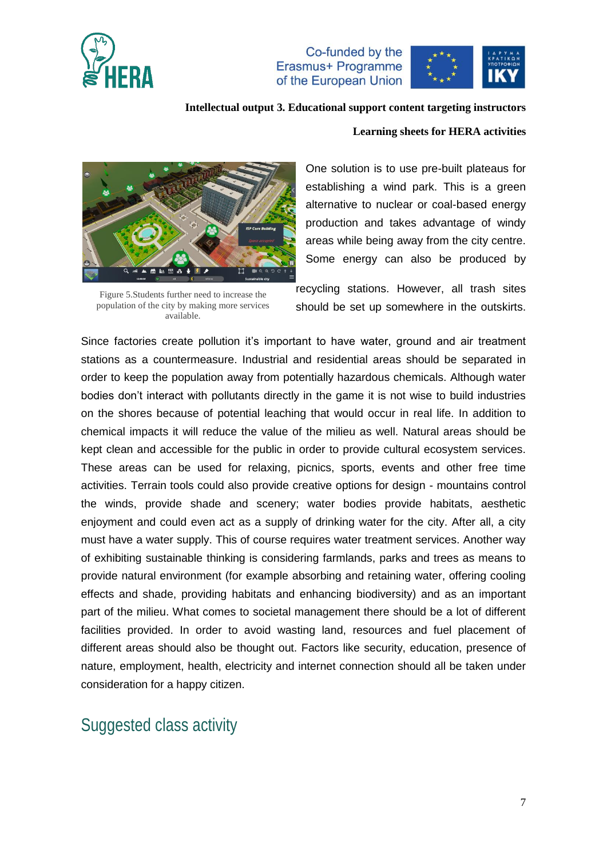



**Intellectual output 3. Educational support content targeting instructors**

#### **Learning sheets for HERA activities**



Figure 5.Students further need to increase the population of the city by making more services available.

One solution is to use pre-built plateaus for establishing a wind park. This is a green alternative to nuclear or coal-based energy production and takes advantage of windy areas while being away from the city centre. Some energy can also be produced by

recycling stations. However, all trash sites should be set up somewhere in the outskirts.

Since factories create pollution it's important to have water, ground and air treatment stations as a countermeasure. Industrial and residential areas should be separated in order to keep the population away from potentially hazardous chemicals. Although water bodies don't interact with pollutants directly in the game it is not wise to build industries on the shores because of potential leaching that would occur in real life. In addition to chemical impacts it will reduce the value of the milieu as well. Natural areas should be kept clean and accessible for the public in order to provide cultural ecosystem services. These areas can be used for relaxing, picnics, sports, events and other free time activities. Terrain tools could also provide creative options for design - mountains control the winds, provide shade and scenery; water bodies provide habitats, aesthetic enjoyment and could even act as a supply of drinking water for the city. After all, a city must have a water supply. This of course requires water treatment services. Another way of exhibiting sustainable thinking is considering farmlands, parks and trees as means to provide natural environment (for example absorbing and retaining water, offering cooling effects and shade, providing habitats and enhancing biodiversity) and as an important part of the milieu. What comes to societal management there should be a lot of different facilities provided. In order to avoid wasting land, resources and fuel placement of different areas should also be thought out. Factors like security, education, presence of nature, employment, health, electricity and internet connection should all be taken under consideration for a happy citizen.

### Suggested class activity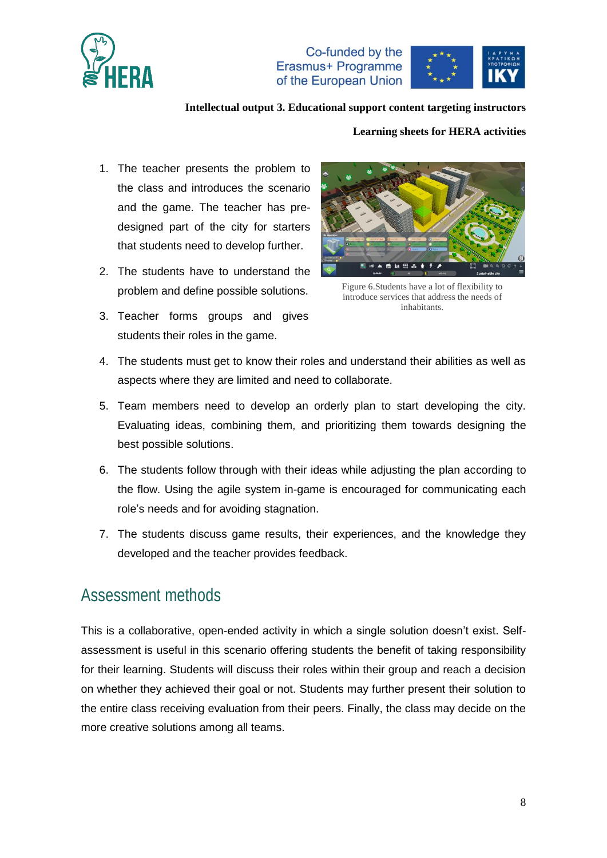



**Intellectual output 3. Educational support content targeting instructors**

#### **Learning sheets for HERA activities**

- 1. The teacher presents the problem to the class and introduces the scenario and the game. The teacher has predesigned part of the city for starters that students need to develop further.
- 2. The students have to understand the problem and define possible solutions.
- 3. Teacher forms groups and gives students their roles in the game.



Figure 6.Students have a lot of flexibility to introduce services that address the needs of inhabitants.

- 4. The students must get to know their roles and understand their abilities as well as aspects where they are limited and need to collaborate.
- 5. Team members need to develop an orderly plan to start developing the city. Evaluating ideas, combining them, and prioritizing them towards designing the best possible solutions.
- 6. The students follow through with their ideas while adjusting the plan according to the flow. Using the agile system in-game is encouraged for communicating each role's needs and for avoiding stagnation.
- 7. The students discuss game results, their experiences, and the knowledge they developed and the teacher provides feedback.

### Assessment methods

This is a collaborative, open-ended activity in which a single solution doesn't exist. Selfassessment is useful in this scenario offering students the benefit of taking responsibility for their learning. Students will discuss their roles within their group and reach a decision on whether they achieved their goal or not. Students may further present their solution to the entire class receiving evaluation from their peers. Finally, the class may decide on the more creative solutions among all teams.